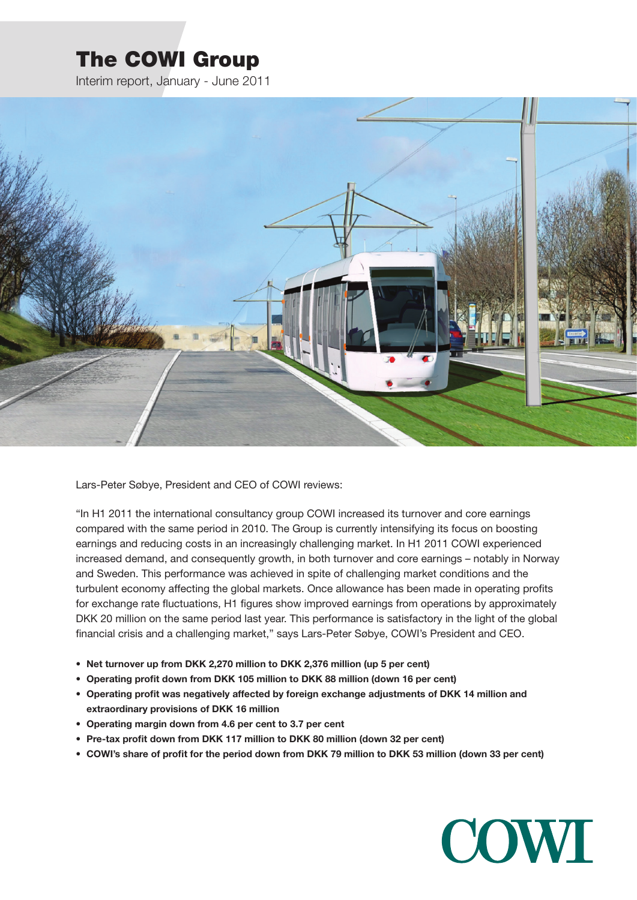# The COWI Group

Interim report, January - June 2011



Lars-Peter Søbye, President and CEO of COWI reviews:

"In H1 2011 the international consultancy group COWI increased its turnover and core earnings compared with the same period in 2010. The Group is currently intensifying its focus on boosting earnings and reducing costs in an increasingly challenging market. In H1 2011 COWI experienced increased demand, and consequently growth, in both turnover and core earnings – notably in Norway and Sweden. This performance was achieved in spite of challenging market conditions and the turbulent economy affecting the global markets. Once allowance has been made in operating profits for exchange rate fluctuations, H1 figures show improved earnings from operations by approximately DKK 20 million on the same period last year. This performance is satisfactory in the light of the global financial crisis and a challenging market," says Lars-Peter Søbye, COWI's President and CEO.

- **• Net turnover up from DKK 2,270 million to DKK 2,376 million (up 5 per cent)**
- **• Operating profit down from DKK 105 million to DKK 88 million (down 16 per cent)**
- **• Operating profit was negatively affected by foreign exchange adjustments of DKK 14 million and extraordinary provisions of DKK 16 million**
- **• Operating margin down from 4.6 per cent to 3.7 per cent**
- **• Pre-tax profit down from DKK 117 million to DKK 80 million (down 32 per cent)**
- COWI's share of profit for the period down from DKK 79 million to DKK 53 million (down 33 per cent)

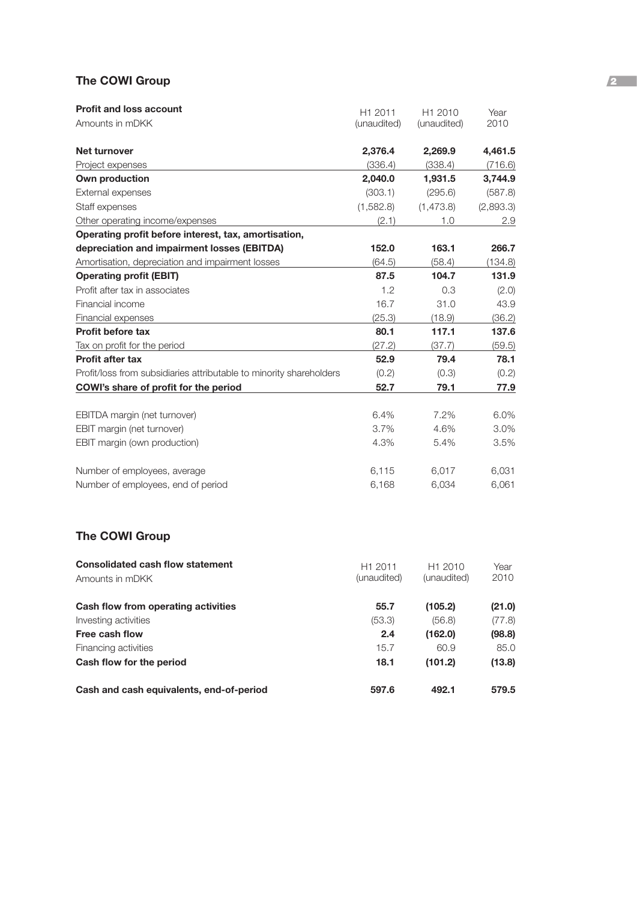# **The COWI Group 2008**

| <b>Profit and loss account</b>                                      | H1 2011     | H1 2010     | Year      |
|---------------------------------------------------------------------|-------------|-------------|-----------|
| Amounts in mDKK                                                     | (unaudited) | (unaudited) | 2010      |
| <b>Net turnover</b>                                                 | 2,376.4     | 2,269.9     | 4,461.5   |
| Project expenses                                                    | (336.4)     | (338.4)     | (716.6)   |
| Own production                                                      | 2,040.0     | 1,931.5     | 3,744.9   |
| External expenses                                                   | (303.1)     | (295.6)     | (587.8)   |
| Staff expenses                                                      | (1,582.8)   | (1,473.8)   | (2,893.3) |
| Other operating income/expenses                                     | (2.1)       | 1.0         | 2.9       |
| Operating profit before interest, tax, amortisation,                |             |             |           |
| depreciation and impairment losses (EBITDA)                         | 152.0       | 163.1       | 266.7     |
| Amortisation, depreciation and impairment losses                    | (64.5)      | (58.4)      | (134.8)   |
| <b>Operating profit (EBIT)</b>                                      | 87.5        | 104.7       | 131.9     |
| Profit after tax in associates                                      | 1.2         | 0.3         | (2.0)     |
| Financial income                                                    | 16.7        | 31.0        | 43.9      |
| Financial expenses                                                  | (25.3)      | (18.9)      | (36.2)    |
| <b>Profit before tax</b>                                            | 80.1        | 117.1       | 137.6     |
| Tax on profit for the period                                        | (27.2)      | (37.7)      | (59.5)    |
| <b>Profit after tax</b>                                             | 52.9        | 79.4        | 78.1      |
| Profit/loss from subsidiaries attributable to minority shareholders | (0.2)       | (0.3)       | (0.2)     |
| COWI's share of profit for the period                               | 52.7        | 79.1        | 77.9      |
| EBITDA margin (net turnover)                                        | 6.4%        | 7.2%        | 6.0%      |
| EBIT margin (net turnover)                                          | 3.7%        | 4.6%        | 3.0%      |
| EBIT margin (own production)                                        | 4.3%        | 5.4%        | 3.5%      |
| Number of employees, average                                        | 6,115       | 6,017       | 6,031     |
| Number of employees, end of period                                  | 6,168       | 6,034       | 6,061     |

# **The COWI Group**

| <b>Consolidated cash flow statement</b>  | H <sub>1</sub> 2011 | H <sub>1</sub> 2010 | Year   |
|------------------------------------------|---------------------|---------------------|--------|
| Amounts in mDKK                          | (unaudited)         | (unaudited)         | 2010   |
| Cash flow from operating activities      | 55.7                | (105.2)             | (21.0) |
| Investing activities                     | (53.3)              | (56.8)              | (77.8) |
| Free cash flow                           | 2.4                 | (162.0)             | (98.8) |
| Financing activities                     | 15.7                | 60.9                | 85.0   |
| Cash flow for the period                 | 18.1                | (101.2)             | (13.8) |
| Cash and cash equivalents, end-of-period | 597.6               | 492.1               | 579.5  |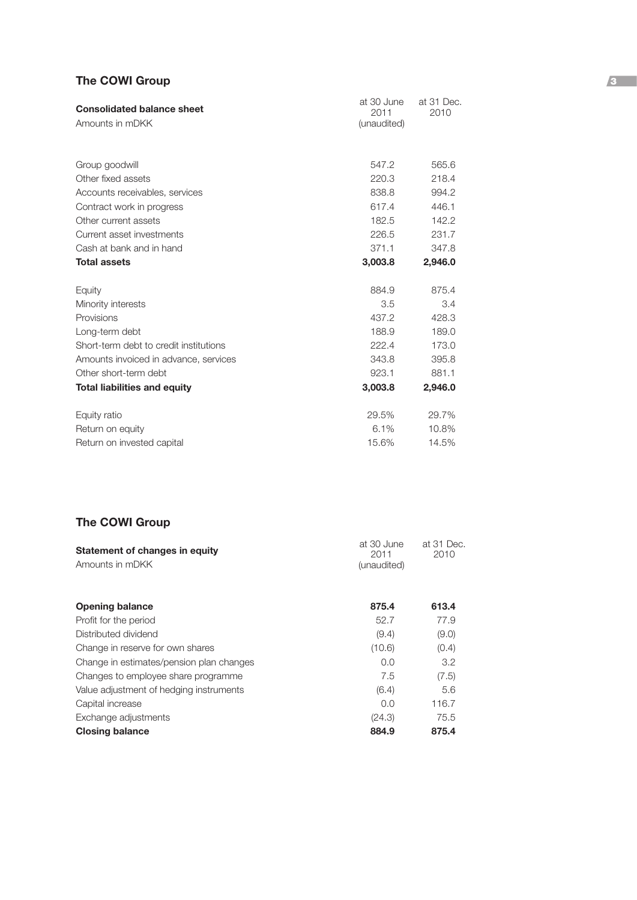# **The COWI Group** 3

| <b>Consolidated balance sheet</b>      | at 30 June<br>2011 | at 31 Dec.<br>2010 |  |  |
|----------------------------------------|--------------------|--------------------|--|--|
| Amounts in mDKK                        | (unaudited)        |                    |  |  |
| Group goodwill                         | 547.2              | 565.6              |  |  |
| Other fixed assets                     | 220.3              | 218.4              |  |  |
| Accounts receivables, services         | 838.8              | 994.2              |  |  |
| Contract work in progress              | 617.4              | 446.1              |  |  |
| Other current assets                   | 182.5              | 142.2              |  |  |
| Current asset investments              | 226.5              | 231.7              |  |  |
| Cash at bank and in hand               | 371.1              | 347.8              |  |  |
| <b>Total assets</b>                    | 3,003.8            | 2,946.0            |  |  |
| Equity                                 | 884.9              | 875.4              |  |  |
| Minority interests                     | 3.5                | 3.4                |  |  |
| Provisions                             | 437.2              | 428.3              |  |  |
| Long-term debt                         | 188.9              | 189.0              |  |  |
| Short-term debt to credit institutions | 222.4              | 173.0              |  |  |
| Amounts invoiced in advance, services  | 343.8              | 395.8              |  |  |
| Other short-term debt                  | 923.1              | 881.1              |  |  |
| <b>Total liabilities and equity</b>    | 3,003.8            | 2,946.0            |  |  |
| Equity ratio                           | 29.5%              | 29.7%              |  |  |
| Return on equity                       | 6.1%               | 10.8%              |  |  |
| Return on invested capital             | 15.6%              | 14.5%              |  |  |

# **The COWI Group**

| Statement of changes in equity<br>Amounts in mDKK | at 30 June<br>2011<br>(unaudited) | at 31 Dec.<br>2010 |
|---------------------------------------------------|-----------------------------------|--------------------|
|                                                   |                                   |                    |
| <b>Opening balance</b>                            | 875.4                             | 613.4              |
| Profit for the period                             | 52.7                              | 77.9               |
| Distributed dividend                              | (9.4)                             | (9.0)              |
| Change in reserve for own shares                  | (10.6)                            | (0.4)              |
| Change in estimates/pension plan changes          | 0.0                               | 3.2                |
| Changes to employee share programme               | 7.5                               | (7.5)              |
| Value adjustment of hedging instruments           | (6.4)                             | 5.6                |
| Capital increase                                  | 0.0                               | 116.7              |
| Exchange adjustments                              | (24.3)                            | 75.5               |
| <b>Closing balance</b>                            | 884.9                             | 875.4              |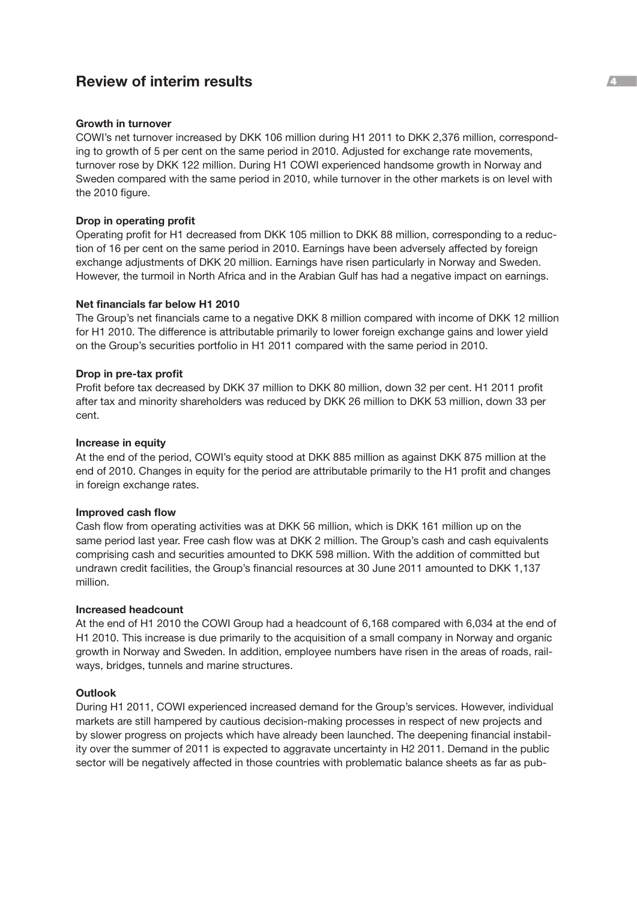# **Review of interim results** <sup>4</sup>

## **Growth in turnover**

COWI's net turnover increased by DKK 106 million during H1 2011 to DKK 2,376 million, corresponding to growth of 5 per cent on the same period in 2010. Adjusted for exchange rate movements, turnover rose by DKK 122 million. During H1 COWI experienced handsome growth in Norway and Sweden compared with the same period in 2010, while turnover in the other markets is on level with the 2010 figure.

## **Drop in operating profit**

Operating profit for H1 decreased from DKK 105 million to DKK 88 million, corresponding to a reduction of 16 per cent on the same period in 2010. Earnings have been adversely affected by foreign exchange adjustments of DKK 20 million. Earnings have risen particularly in Norway and Sweden. However, the turmoil in North Africa and in the Arabian Gulf has had a negative impact on earnings.

#### **Net financials far below H1 2010**

The Group's net financials came to a negative DKK 8 million compared with income of DKK 12 million for H1 2010. The difference is attributable primarily to lower foreign exchange gains and lower yield on the Group's securities portfolio in H1 2011 compared with the same period in 2010.

## **Drop in pre-tax profit**

Profit before tax decreased by DKK 37 million to DKK 80 million, down 32 per cent. H1 2011 profit after tax and minority shareholders was reduced by DKK 26 million to DKK 53 million, down 33 per cent.

## **Increase in equity**

At the end of the period, COWI's equity stood at DKK 885 million as against DKK 875 million at the end of 2010. Changes in equity for the period are attributable primarily to the H1 profit and changes in foreign exchange rates.

#### **Improved cash flow**

Cash flow from operating activities was at DKK 56 million, which is DKK 161 million up on the same period last year. Free cash flow was at DKK 2 million. The Group's cash and cash equivalents comprising cash and securities amounted to DKK 598 million. With the addition of committed but undrawn credit facilities, the Group's financial resources at 30 June 2011 amounted to DKK 1,137 million.

#### **Increased headcount**

At the end of H1 2010 the COWI Group had a headcount of 6,168 compared with 6,034 at the end of H1 2010. This increase is due primarily to the acquisition of a small company in Norway and organic growth in Norway and Sweden. In addition, employee numbers have risen in the areas of roads, railways, bridges, tunnels and marine structures.

# **Outlook**

During H1 2011, COWI experienced increased demand for the Group's services. However, individual markets are still hampered by cautious decision-making processes in respect of new projects and by slower progress on projects which have already been launched. The deepening financial instability over the summer of 2011 is expected to aggravate uncertainty in H2 2011. Demand in the public sector will be negatively affected in those countries with problematic balance sheets as far as pub